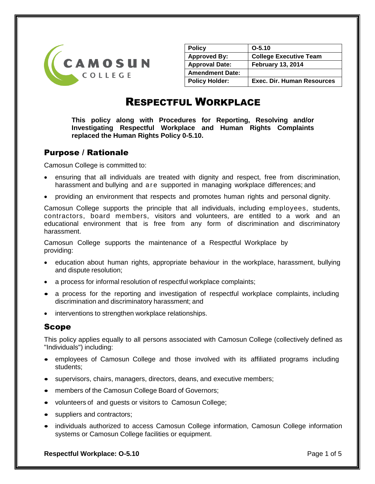

| <b>Policy</b>          | $O-5.10$                          |
|------------------------|-----------------------------------|
| <b>Approved By:</b>    | <b>College Executive Team</b>     |
| <b>Approval Date:</b>  | <b>February 13, 2014</b>          |
| <b>Amendment Date:</b> |                                   |
| <b>Policy Holder:</b>  | <b>Exec. Dir. Human Resources</b> |

# RESPECTFUL WORKPLACE

**This policy along with Procedures for Reporting, Resolving and/or Investigating Respectful Workplace and Human Rights Complaints replaced the Human Rights Policy 0-5.10.**

# Purpose / Rationale

Camosun College is committed to:

- ensuring that all individuals are treated with dignity and respect, free from discrimination, harassment and bullying and are supported in managing workplace differences; and
- providing an environment that respects and promotes human rights and personal dignity.

Camosun College supports the principle that all individuals, including employees, students, contractors, board members, visitors and volunteers, are entitled to a work and an educational environment that is free from any form of discrimination and discriminatory harassment.

Camosun College supports the maintenance of a Respectful Workplace by providing:

- education about human rights, appropriate behaviour in the workplace, harassment, bullying and dispute resolution;
- a process for informal resolution of respectful workplace complaints;
- a process for the reporting and investigation of respectful workplace complaints, including discrimination and discriminatory harassment; and
- interventions to strengthen workplace relationships.

## Scope

This policy applies equally to all persons associated with Camosun College (collectively defined as "Individuals") including:

- employees of Camosun College and those involved with its affiliated programs including students;
- supervisors, chairs, managers, directors, deans, and executive members;
- members of the Camosun College Board of Governors;
- volunteers of and guests or visitors to Camosun College;
- suppliers and contractors;
- individuals authorized to access Camosun College information, Camosun College information systems or Camosun College facilities or equipment.

**Respectful Workplace: 0-5.10 Page 1 of 5**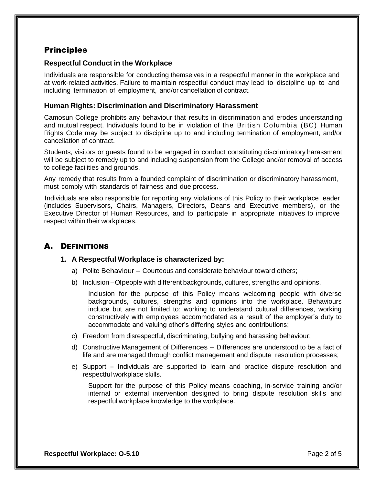# **Principles**

#### **Respectful Conduct in the Workplace**

Individuals are responsible for conducting themselves in a respectful manner in the workplace and at work-related activities. Failure to maintain respectful conduct may lead to discipline up to and including termination of employment, and/or cancellation of contract.

#### **Human Rights: Discrimination and Discriminatory Harassment**

Camosun College prohibits any behaviour that results in discrimination and erodes understanding and mutual respect. Individuals found to be in violation of the British Columbia (BC) Human Rights Code may be subject to discipline up to and including termination of employment, and/or cancellation of contract.

Students, visitors or guests found to be engaged in conduct constituting discriminatory harassment will be subject to remedy up to and including suspension from the College and/or removal of access to college facilities and grounds.

Any remedy that results from a founded complaint of discrimination or discriminatory harassment, must comply with standards of fairness and due process.

Individuals are also responsible for reporting any violations of this Policy to their workplace leader (includes Supervisors, Chairs, Managers, Directors, Deans and Executive members), or the Executive Director of Human Resources, and to participate in appropriate initiatives to improve respect within their workplaces.

# A. DEFINITIONS

#### **1. A Respectful Workplace is characterized by:**

- a) Polite Behaviour Courteous and considerate behaviour toward others;
- b) Inclusion –Of people with different backgrounds, cultures, strengths and opinions.

Inclusion for the purpose of this Policy means welcoming people with diverse backgrounds, cultures, strengths and opinions into the workplace. Behaviours include but are not limited to: working to understand cultural differences, working constructively with employees accommodated as a result of the employer's duty to accommodate and valuing other's differing styles and contributions;

- c) Freedom from disrespectful, discriminating, bullying and harassing behaviour;
- d) Constructive Management of Differences Differences are understood to be a fact of life and are managed through conflict management and dispute resolution processes;
- e) Support Individuals are supported to learn and practice dispute resolution and respectful workplace skills.

Support for the purpose of this Policy means coaching, in-service training and/or internal or external intervention designed to bring dispute resolution skills and respectful workplace knowledge to the workplace.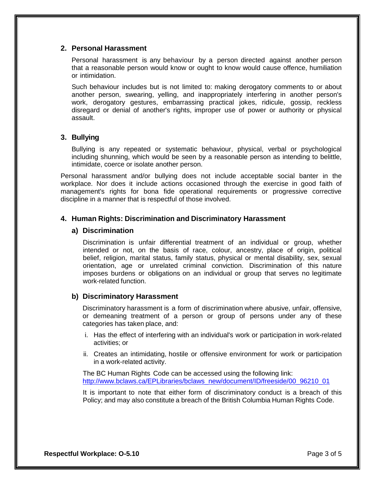#### **2. Personal Harassment**

Personal harassment is any behaviour by a person directed against another person that a reasonable person would know or ought to know would cause offence, humiliation or intimidation.

Such behaviour includes but is not limited to: making derogatory comments to or about another person, swearing, yelling, and inappropriately interfering in another person's work, derogatory gestures, embarrassing practical jokes, ridicule, gossip, reckless disregard or denial of another's rights, improper use of power or authority or physical assault.

#### **3. Bullying**

Bullying is any repeated or systematic behaviour, physical, verbal or psychological including shunning, which would be seen by a reasonable person as intending to belittle, intimidate, coerce or isolate another person.

Personal harassment and/or bullying does not include acceptable social banter in the workplace. Nor does it include actions occasioned through the exercise in good faith of management's rights for bona fide operational requirements or progressive corrective discipline in a manner that is respectful of those involved.

#### **4. Human Rights: Discrimination and Discriminatory Harassment**

#### **a) Discrimination**

Discrimination is unfair differential treatment of an individual or group, whether intended or not, on the basis of race, colour, ancestry, place of origin, political belief, religion, marital status, family status, physical or mental disability, sex, sexual orientation, age or unrelated criminal conviction. Discrimination of this nature imposes burdens or obligations on an individual or group that serves no legitimate work-related function.

#### **b) Discriminatory Harassment**

Discriminatory harassment is a form of discrimination where abusive, unfair, offensive, or demeaning treatment of a person or group of persons under any of these categories has taken place, and:

- i. Has the effect of interfering with an individual's work or participation in work-related activities; or
- ii. Creates an intimidating, hostile or offensive environment for work or participation in a work-related activity.

The BC Human Rights Code can be accessed using the following link: [http://www.bclaws.ca/EPLibraries/bclaws\\_new/document/ID/freeside/00\\_96210\\_01](http://www.bclaws.ca/EPLibraries/bclaws_new/document/ID/freeside/00_96210_01)

It is important to note that either form of discriminatory conduct is a breach of this Policy; and may also constitute a breach of the British Columbia Human Rights Code.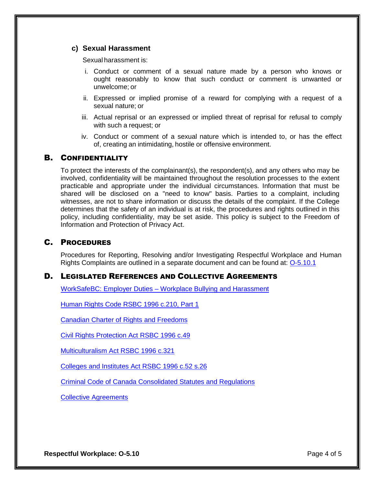#### **c) Sexual Harassment**

Sexual harassment is:

- i. Conduct or comment of a sexual nature made by a person who knows or ought reasonably to know that such conduct or comment is unwanted or unwelcome; or
- ii. Expressed or implied promise of a reward for complying with a request of a sexual nature; or
- iii. Actual reprisal or an expressed or implied threat of reprisal for refusal to comply with such a request; or
- iv. Conduct or comment of a sexual nature which is intended to, or has the effect of, creating an intimidating, hostile or offensive environment.

## B. CONFIDENTIALITY

To protect the interests of the complainant(s), the respondent(s), and any others who may be involved, confidentiality will be maintained throughout the resolution processes to the extent practicable and appropriate under the individual circumstances. Information that must be shared will be disclosed on a "need to know" basis. Parties to a complaint, including witnesses, are not to share information or discuss the details of the complaint. If the College determines that the safety of an individual is at risk, the procedures and rights outlined in this policy, including confidentiality, may be set aside. This policy is subject to the Freedom of Information and Protection of Privacy Act.

### C. PROCEDURES

Procedures for Reporting, Resolving and/or Investigating Respectful Workplace and Human Rights Complaints are outlined in a separate document and can be found at: [O-5.10.1](http://camosun.ca/about/policies/operations/o-5-human-resources/o-5.10.1.pdf)

#### D. LEGISLATED REFERENCES AND COLLECTIVE AGREEMENTS

WorkSafeBC: Employer Duties – [Workplace Bullying and Harassment](http://www2.worksafebc.com/pdfs/bullying/BH_policies_Nov1_2013.pdf)

[Human Rights Code RSBC 1996 c.210, Part 1](http://www.bclaws.ca/Recon/document/ID/freeside/00_96210_01)

[Canadian Charter of Rights and Freedoms](http://publications.gc.ca/collections/Collection/CH37-4-3-2002E.pdf)

[Civil Rights Protection Act RSBC 1996 c.49](http://www.bclaws.ca/Recon/document/ID/freeside/00_96049_01)

[Multiculturalism Act RSBC 1996 c.321](http://canlii.ca/en/bc/laws/stat/rsbc-1996-c-321/latest/rsbc-1996-c-321.html)

[Colleges and Institutes Act RSBC 1996 c.52 s.26](http://www.bclaws.ca/Recon/document/ID/freeside/00_96052_01#section37)

[Criminal Code of Canada Consolidated Statutes and Regulations](http://laws-lois.justice.gc.ca/eng/acts/C-46/section-264.html)

[Collective Agreements](http://camosun.ca/about/careers/policy-collective-agreements.html)

**Respectful Workplace: 0-5.10 Page 4 of 5**